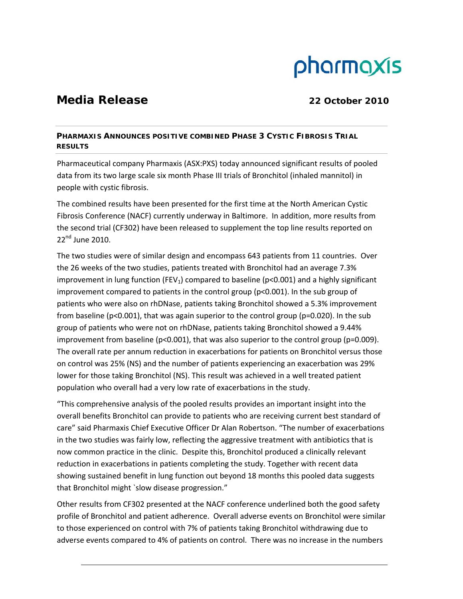# pharmaxis

## **Media Release** 22 October 2010

### **PHARMAXIS ANNOUNCES POSITIVE COMBINED PHASE 3 CYSTIC FIBROSIS TRIAL RESULTS**

Pharmaceutical company Pharmaxis (ASX:PXS) today announced significant results of pooled data from its two large scale six month Phase III trials of Bronchitol (inhaled mannitol) in people with cystic fibrosis.

The combined results have been presented for the first time at the North American Cystic Fibrosis Conference (NACF) currently underway in Baltimore. In addition, more results from the second trial (CF302) have been released to supplement the top line results reported on  $22<sup>nd</sup>$  June 2010.

The two studies were of similar design and encompass 643 patients from 11 countries. Over the 26 weeks of the two studies, patients treated with Bronchitol had an average 7.3% improvement in lung function (FEV<sub>1</sub>) compared to baseline (p<0.001) and a highly significant improvement compared to patients in the control group (p<0.001). In the sub group of patients who were also on rhDNase, patients taking Bronchitol showed a 5.3% improvement from baseline (p<0.001), that was again superior to the control group (p=0.020). In the sub group of patients who were not on rhDNase, patients taking Bronchitol showed a 9.44% improvement from baseline (p<0.001), that was also superior to the control group (p=0.009). The overall rate per annum reduction in exacerbations for patients on Bronchitol versus those on control was 25% (NS) and the number of patients experiencing an exacerbation was 29% lower for those taking Bronchitol (NS). This result was achieved in a well treated patient population who overall had a very low rate of exacerbations in the study.

"This comprehensive analysis of the pooled results provides an important insight into the overall benefits Bronchitol can provide to patients who are receiving current best standard of care" said Pharmaxis Chief Executive Officer Dr Alan Robertson. "The number of exacerbations in the two studies was fairly low, reflecting the aggressive treatment with antibiotics that is now common practice in the clinic. Despite this, Bronchitol produced a clinically relevant reduction in exacerbations in patients completing the study. Together with recent data showing sustained benefit in lung function out beyond 18 months this pooled data suggests that Bronchitol might `slow disease progression."

Other results from CF302 presented at the NACF conference underlined both the good safety profile of Bronchitol and patient adherence. Overall adverse events on Bronchitol were similar to those experienced on control with 7% of patients taking Bronchitol withdrawing due to adverse events compared to 4% of patients on control. There was no increase in the numbers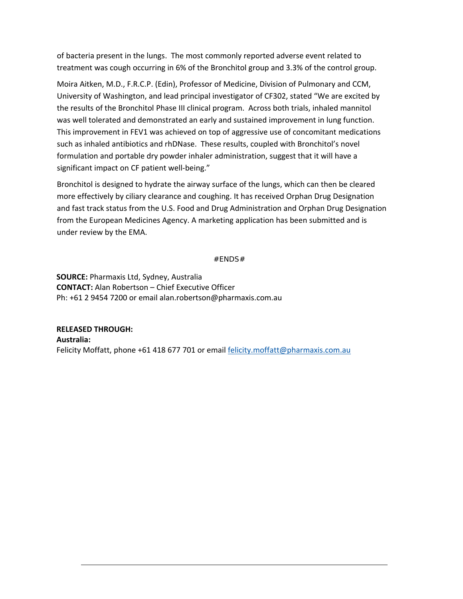of bacteria present in the lungs. The most commonly reported adverse event related to treatment was cough occurring in 6% of the Bronchitol group and 3.3% of the control group.

Moira Aitken, M.D., F.R.C.P. (Edin), Professor of Medicine, Division of Pulmonary and CCM, University of Washington, and lead principal investigator of CF302, stated "We are excited by the results of the Bronchitol Phase III clinical program. Across both trials, inhaled mannitol was well tolerated and demonstrated an early and sustained improvement in lung function. This improvement in FEV1 was achieved on top of aggressive use of concomitant medications such as inhaled antibiotics and rhDNase. These results, coupled with Bronchitol's novel formulation and portable dry powder inhaler administration, suggest that it will have a significant impact on CF patient well-being."

Bronchitol is designed to hydrate the airway surface of the lungs, which can then be cleared more effectively by ciliary clearance and coughing. It has received Orphan Drug Designation and fast track status from the U.S. Food and Drug Administration and Orphan Drug Designation from the European Medicines Agency. A marketing application has been submitted and is under review by the EMA.

#### #ENDS#

**SOURCE:** Pharmaxis Ltd, Sydney, Australia **CONTACT:** Alan Robertson – Chief Executive Officer Ph: +61 2 9454 7200 or email alan.robertson@pharmaxis.com.au

**RELEASED THROUGH: Australia:** Felicity Moffatt, phone +61 418 677 701 or email felicity.moffatt@pharmaxis.com.au